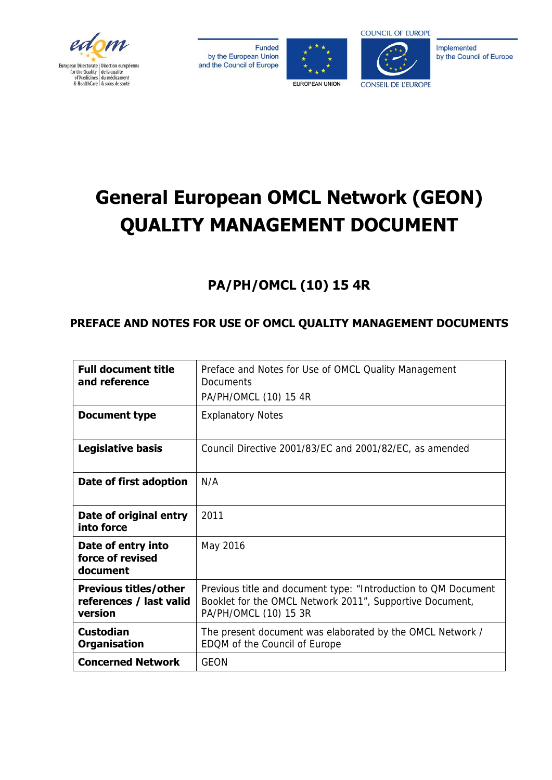

Funded by the European Union and the Council of Europe





Implemented by the Council of Europe

## **General European OMCL Network (GEON) QUALITY MANAGEMENT DOCUMENT**

## **PA/PH/OMCL (10) 15 4R**

## **PREFACE AND NOTES FOR USE OF OMCL QUALITY MANAGEMENT DOCUMENTS**

| <b>Full document title</b><br>and reference                        | Preface and Notes for Use of OMCL Quality Management<br>Documents<br>PA/PH/OMCL (10) 15 4R                                                          |
|--------------------------------------------------------------------|-----------------------------------------------------------------------------------------------------------------------------------------------------|
| Document type                                                      | <b>Explanatory Notes</b>                                                                                                                            |
| <b>Legislative basis</b>                                           | Council Directive 2001/83/EC and 2001/82/EC, as amended                                                                                             |
| Date of first adoption                                             | N/A                                                                                                                                                 |
| Date of original entry<br>into force                               | 2011                                                                                                                                                |
| Date of entry into<br>force of revised<br>document                 | May 2016                                                                                                                                            |
| <b>Previous titles/other</b><br>references / last valid<br>version | Previous title and document type: "Introduction to QM Document<br>Booklet for the OMCL Network 2011", Supportive Document,<br>PA/PH/OMCL (10) 15 3R |
| <b>Custodian</b><br><b>Organisation</b>                            | The present document was elaborated by the OMCL Network /<br>EDQM of the Council of Europe                                                          |
| <b>Concerned Network</b>                                           | <b>GEON</b>                                                                                                                                         |